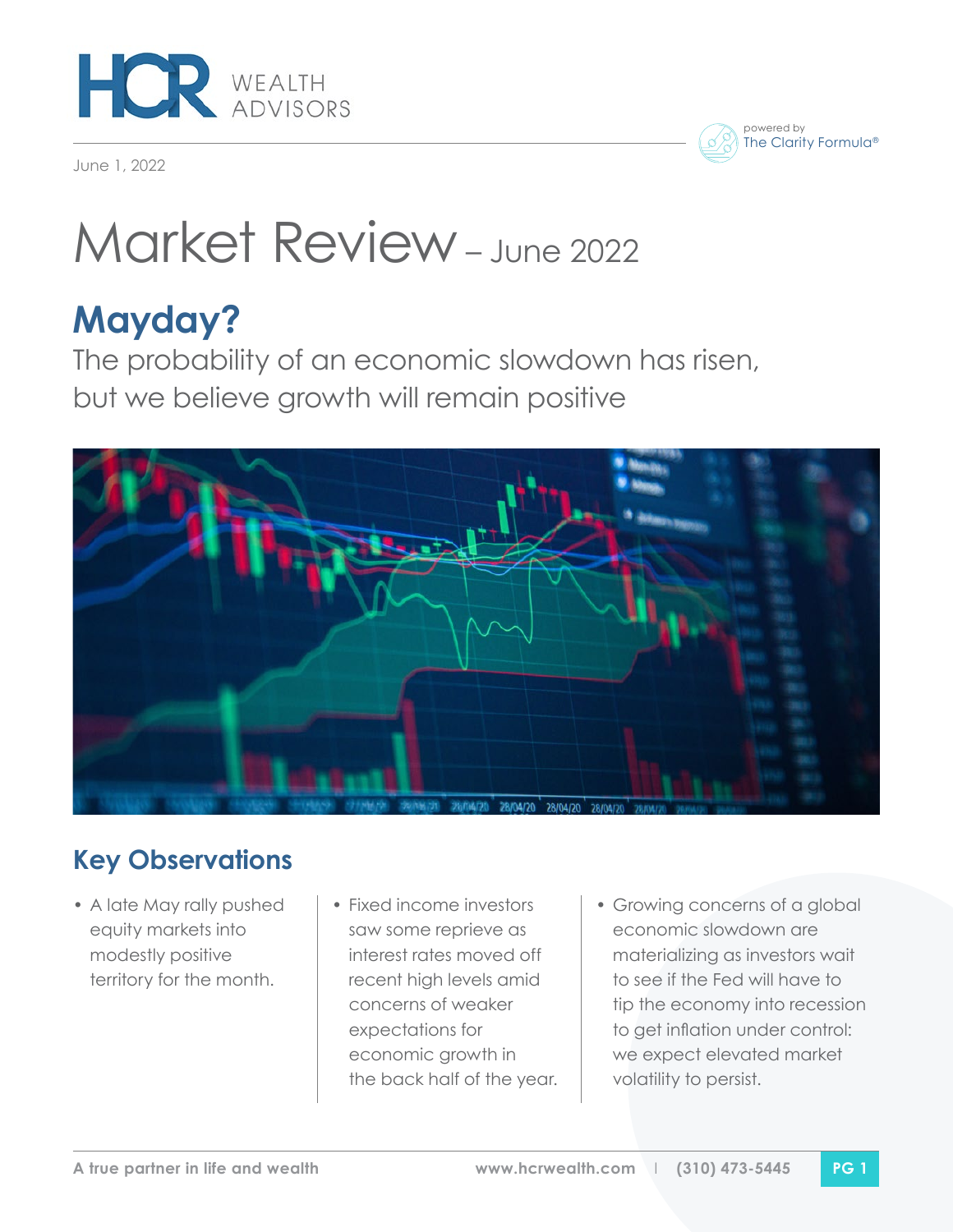

June 1, 2022

#### powered by The Clarity Formula®

# Market Review – June 2022

## **Mayday?**

The probability of an economic slowdown has risen, but we believe growth will remain positive



### **Key Observations**

- A late May rally pushed equity markets into modestly positive territory for the month.
- Fixed income investors saw some reprieve as interest rates moved off recent high levels amid concerns of weaker expectations for economic growth in the back half of the year.
- Growing concerns of a global economic slowdown are materializing as investors wait to see if the Fed will have to tip the economy into recession to get inflation under control: we expect elevated market volatility to persist.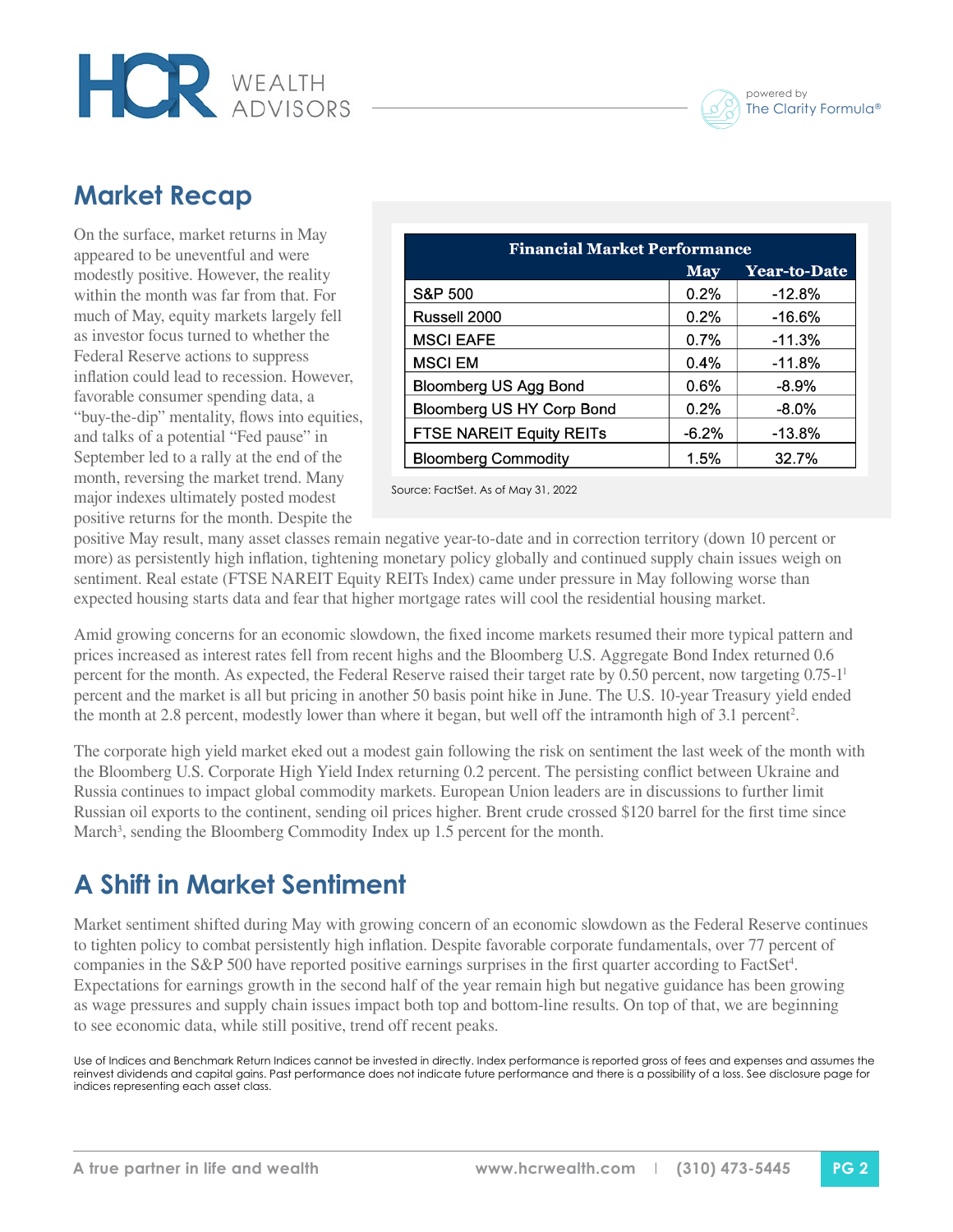

#### **Market Recap**

On the surface, market returns in May appeared to be uneventful and were modestly positive. However, the reality within the month was far from that. For much of May, equity markets largely fell as investor focus turned to whether the Federal Reserve actions to suppress inflation could lead to recession. However, favorable consumer spending data, a "buy-the-dip" mentality, flows into equities, and talks of a potential "Fed pause" in September led to a rally at the end of the month, reversing the market trend. Many major indexes ultimately posted modest positive returns for the month. Despite the

**HOR** WEALTH

| <b>Financial Market Performance</b> |         |                     |
|-------------------------------------|---------|---------------------|
|                                     | May     | <b>Year-to-Date</b> |
| S&P 500                             | 0.2%    | $-12.8%$            |
| Russell 2000                        | 0.2%    | $-16.6%$            |
| <b>MSCI EAFE</b>                    | 0.7%    | $-11.3%$            |
| <b>MSCI EM</b>                      | 0.4%    | $-11.8%$            |
| <b>Bloomberg US Agg Bond</b>        | 0.6%    | $-8.9%$             |
| Bloomberg US HY Corp Bond           | 0.2%    | $-8.0\%$            |
| <b>FTSE NAREIT Equity REITs</b>     | $-6.2%$ | $-13.8%$            |
| <b>Bloomberg Commodity</b>          | 1.5%    | 32.7%               |

Source: FactSet. As of May 31, 2022

positive May result, many asset classes remain negative year-to-date and in correction territory (down 10 percent or more) as persistently high inflation, tightening monetary policy globally and continued supply chain issues weigh on sentiment. Real estate (FTSE NAREIT Equity REITs Index) came under pressure in May following worse than expected housing starts data and fear that higher mortgage rates will cool the residential housing market.

Amid growing concerns for an economic slowdown, the fixed income markets resumed their more typical pattern and prices increased as interest rates fell from recent highs and the Bloomberg U.S. Aggregate Bond Index returned 0.6 percent for the month. As expected, the Federal Reserve raised their target rate by 0.50 percent, now targeting 0.75-1<sup>1</sup> percent and the market is all but pricing in another 50 basis point hike in June. The U.S. 10-year Treasury yield ended the month at 2.8 percent, modestly lower than where it began, but well off the intramonth high of 3.1 percent<sup>2</sup>.

The corporate high yield market eked out a modest gain following the risk on sentiment the last week of the month with the Bloomberg U.S. Corporate High Yield Index returning 0.2 percent. The persisting conflict between Ukraine and Russia continues to impact global commodity markets. European Union leaders are in discussions to further limit Russian oil exports to the continent, sending oil prices higher. Brent crude crossed \$120 barrel for the first time since March<sup>3</sup>, sending the Bloomberg Commodity Index up 1.5 percent for the month.

#### **A Shift in Market Sentiment**

Market sentiment shifted during May with growing concern of an economic slowdown as the Federal Reserve continues to tighten policy to combat persistently high inflation. Despite favorable corporate fundamentals, over 77 percent of companies in the S&P 500 have reported positive earnings surprises in the first quarter according to FactSet<sup>4</sup>. Expectations for earnings growth in the second half of the year remain high but negative guidance has been growing as wage pressures and supply chain issues impact both top and bottom-line results. On top of that, we are beginning to see economic data, while still positive, trend off recent peaks.

Use of Indices and Benchmark Return Indices cannot be invested in directly. Index performance is reported gross of fees and expenses and assumes the reinvest dividends and capital gains. Past performance does not indicate future performance and there is a possibility of a loss. See disclosure page for indices representing each asset class.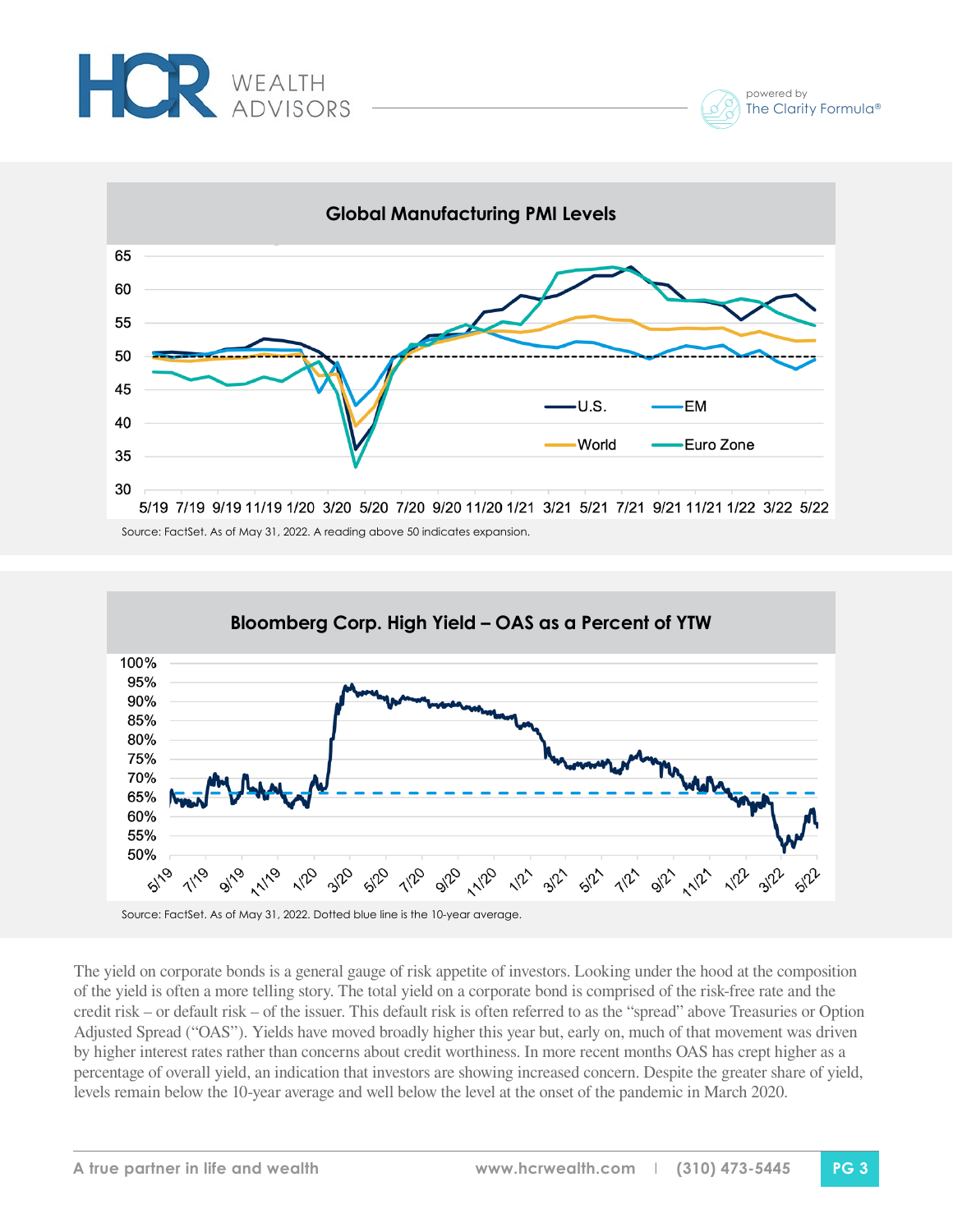



Source: FactSet. As of May 31, 2022. A reading above 50 indicates expansion.



The yield on corporate bonds is a general gauge of risk appetite of investors. Looking under the hood at the composition of the yield is often a more telling story. The total yield on a corporate bond is comprised of the risk-free rate and the credit risk – or default risk – of the issuer. This default risk is often referred to as the "spread" above Treasuries or Option Adjusted Spread ("OAS"). Yields have moved broadly higher this year but, early on, much of that movement was driven by higher interest rates rather than concerns about credit worthiness. In more recent months OAS has crept higher as a percentage of overall yield, an indication that investors are showing increased concern. Despite the greater share of yield, levels remain below the 10-year average and well below the level at the onset of the pandemic in March 2020.

powered by

The Clarity Formula®